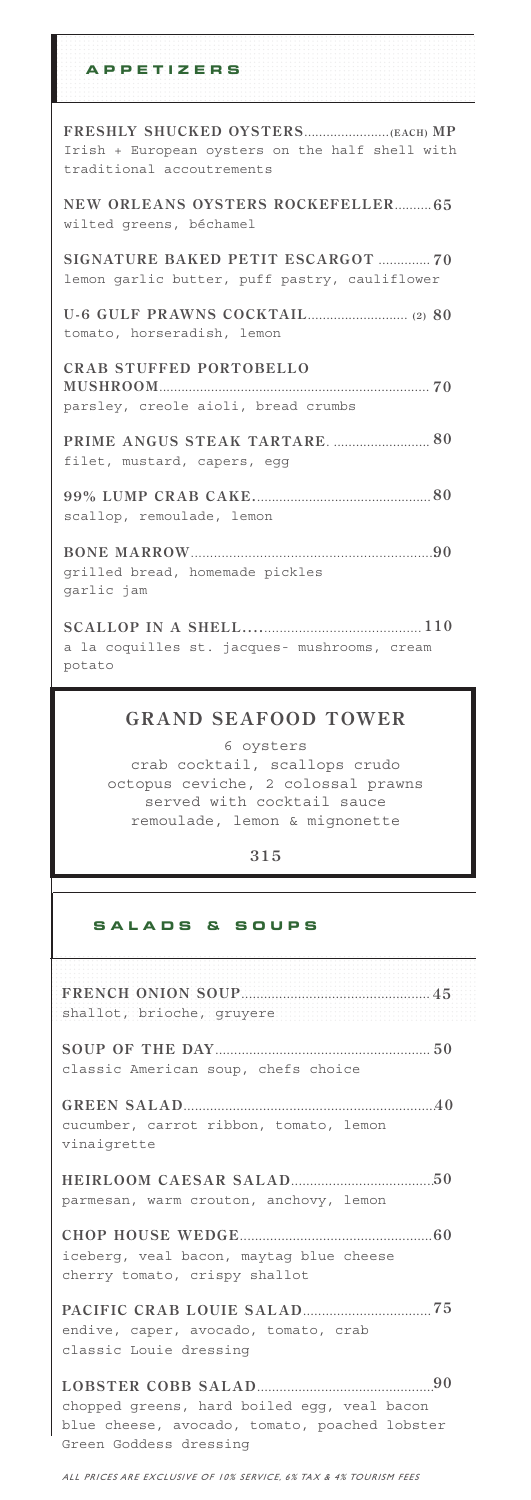| <b>APPETIZERS</b>                                                                   |
|-------------------------------------------------------------------------------------|
| Irish + European oysters on the half shell with<br>traditional accoutrements        |
| NEW ORLEANS OYSTERS ROCKEFELLER 65<br>wilted greens, béchamel                       |
| SIGNATURE BAKED PETIT ESCARGOT  70<br>lemon garlic butter, puff pastry, cauliflower |
| tomato, horseradish, lemon                                                          |
| <b>CRAB STUFFED PORTOBELLO</b><br>parsley, creole aioli, bread crumbs               |
| filet, mustard, capers, egg                                                         |
| scallop, remoulade, lemon                                                           |
| grilled bread, homemade pickles<br>qarlic jam                                       |
| a la coquilles st. jacques- mushrooms, cream<br>potato                              |

### **GRAND SEAFOOD TOWER**

6 oysters crab cocktail, scallops crudo octopus ceviche, 2 colossal prawns served with cocktail sauce remoulade, lemon & mignonette

### **315**

### **S A L A D S & S O U P S**

| shallot, brioche, gruyere                                                                                              |
|------------------------------------------------------------------------------------------------------------------------|
| classic American soup, chefs choice                                                                                    |
| cucumber, carrot ribbon, tomato, lemon<br>vinaigrette                                                                  |
| parmesan, warm crouton, anchovy, lemon                                                                                 |
| iceberg, veal bacon, maytag blue cheese<br>cherry tomato, crispy shallot                                               |
| endive, caper, avocado, tomato, crab<br>classic Louie dressing                                                         |
| chopped greens, hard boiled eqq, veal bacon<br>blue cheese, avocado, tomato, poached lobster<br>Green Goddess dressing |

ALL PRICES ARE EXCLUSIVE OF 10% SERVICE, 6% TAX & 4% TOURISM FEES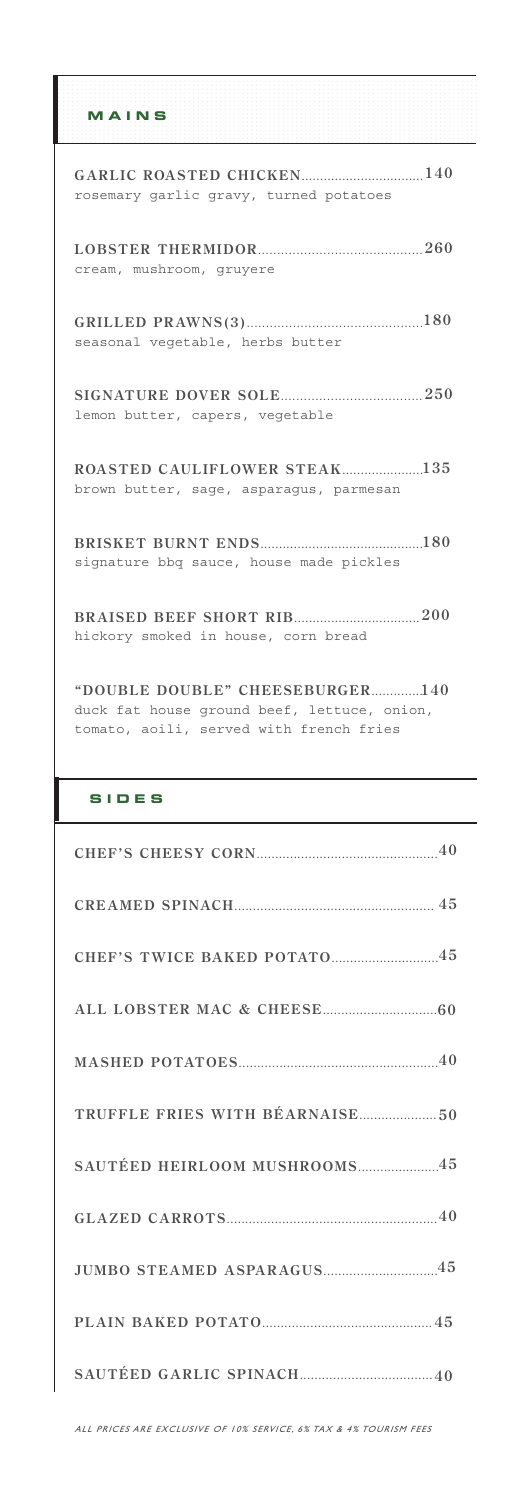|  |  |  |  |  | .     |  |                |   |   |  |
|--|--|--|--|--|-------|--|----------------|---|---|--|
|  |  |  |  |  | .     |  |                |   |   |  |
|  |  |  |  |  | .     |  |                |   |   |  |
|  |  |  |  |  |       |  |                |   |   |  |
|  |  |  |  |  | MAINS |  |                |   |   |  |
|  |  |  |  |  | .     |  | <b>COLLEGE</b> | ٠ | _ |  |
|  |  |  |  |  |       |  |                |   |   |  |
|  |  |  |  |  | .     |  |                |   |   |  |
|  |  |  |  |  | .     |  |                |   |   |  |
|  |  |  |  |  | .     |  |                |   |   |  |

| rosemary garlic gravy, turned potatoes  |
|-----------------------------------------|
| cream, mushroom, gruyere                |
| seasonal vegetable, herbs butter        |
| lemon butter, capers, vegetable         |
| brown butter, sage, asparagus, parmesan |
| signature bbg sauce, house made pickles |
| hickory smoked in house, corn bread     |

**"DOUBLE DOUBLE" CHEESEBURGER.............. 140** duck fat house ground beef, lettuce, onion, tomato, aoili, served with french fries

### **SIDES**

| CHEF'S TWICE BAKED POTATO45  |
|------------------------------|
|                              |
|                              |
|                              |
| SAUTÉED HEIRLOOM MUSHROOMS45 |
|                              |
| JUMBO STEAMED ASPARAGUS45    |
|                              |
|                              |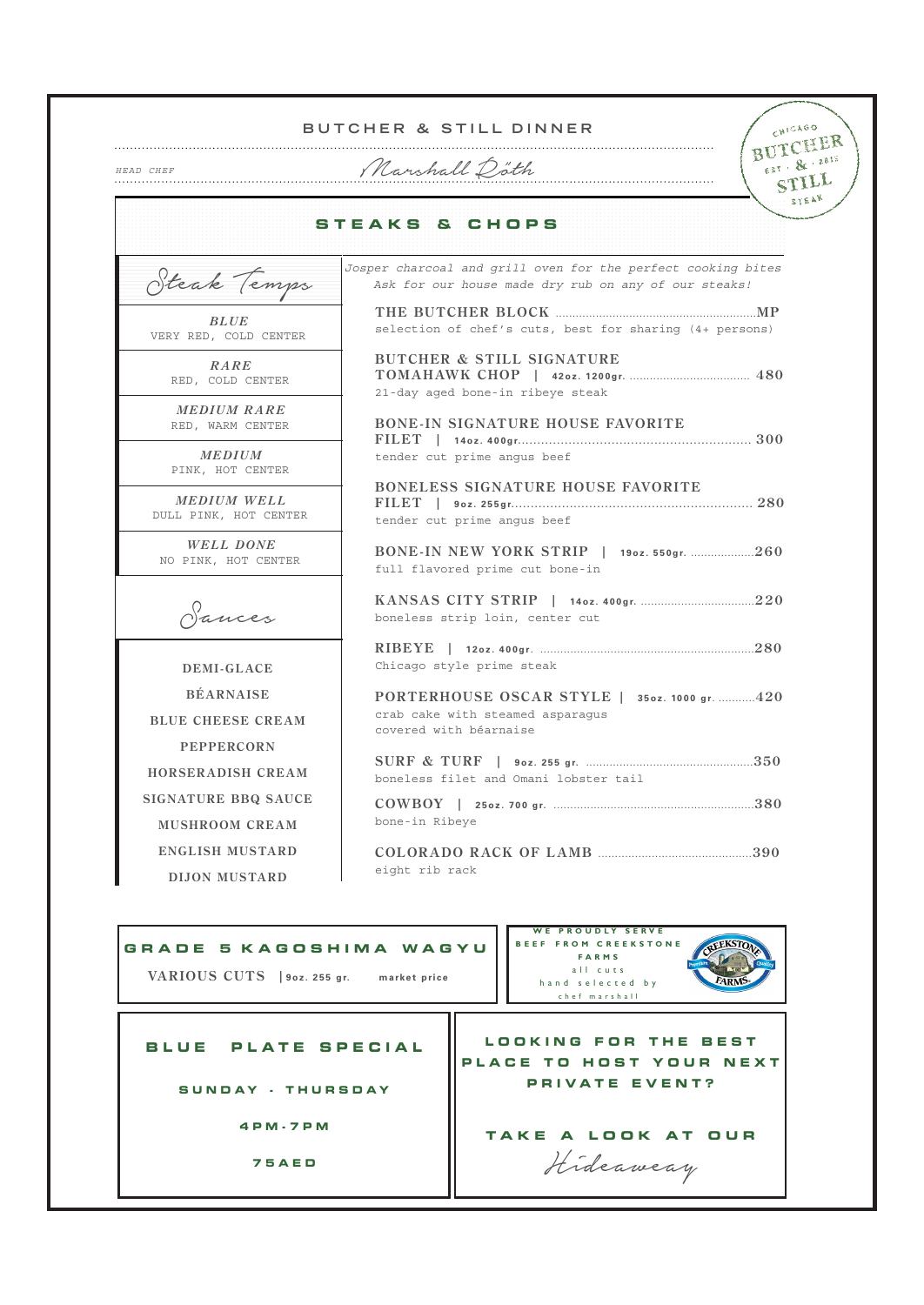|                                                                   | CHICAGO<br>BUTCHER & STILL DINNER<br>BUTCHER                                                                         |  |  |  |  |  |  |
|-------------------------------------------------------------------|----------------------------------------------------------------------------------------------------------------------|--|--|--|--|--|--|
| HEAD CHEF                                                         | EST . & . 2015<br>Marshall Doth<br>STILL                                                                             |  |  |  |  |  |  |
|                                                                   | STEAK<br><b>STEAKS &amp; CHOPS</b>                                                                                   |  |  |  |  |  |  |
| Steak Temps                                                       | Josper charcoal and grill oven for the perfect cooking bites<br>Ask for our house made dry rub on any of our steaks! |  |  |  |  |  |  |
| <b>BLUE</b><br>VERY RED, COLD CENTER                              | selection of chef's cuts, best for sharing (4+ persons)                                                              |  |  |  |  |  |  |
| RARE<br>RED, COLD CENTER                                          | <b>BUTCHER &amp; STILL SIGNATURE</b><br>21-day aged bone-in ribeye steak                                             |  |  |  |  |  |  |
| <b>MEDIUM RARE</b><br>RED, WARM CENTER                            | <b>BONE-IN SIGNATURE HOUSE FAVORITE</b>                                                                              |  |  |  |  |  |  |
| <b>MEDIUM</b><br>PINK, HOT CENTER                                 | tender cut prime angus beef<br><b>BONELESS SIGNATURE HOUSE FAVORITE</b>                                              |  |  |  |  |  |  |
| <b>MEDIUM WELL</b><br>DULL PINK, HOT CENTER                       | tender cut prime angus beef                                                                                          |  |  |  |  |  |  |
| <b>WELL DONE</b><br>NO PINK, HOT CENTER                           | BONE-IN NEW YORK STRIP   1902. 550gr. 260<br>full flavored prime cut bone-in                                         |  |  |  |  |  |  |
| Sances                                                            | boneless strip loin, center cut                                                                                      |  |  |  |  |  |  |
| <b>DEMI-GLACE</b>                                                 | Chicago style prime steak                                                                                            |  |  |  |  |  |  |
| <b>BÉARNAISE</b><br><b>BLUE CHEESE CREAM</b><br><b>PEPPERCORN</b> | PORTERHOUSE OSCAR STYLE   350z. 1000 gr. 420<br>crab cake with steamed asparagus<br>covered with béarnaise           |  |  |  |  |  |  |
| HORSERADISH CREAM                                                 | boneless filet and Omani lobster tail                                                                                |  |  |  |  |  |  |
| <b>SIGNATURE BBQ SAUCE</b><br><b>MUSHROOM CREAM</b>               | bone-in Ribeye                                                                                                       |  |  |  |  |  |  |
| <b>ENGLISH MUSTARD</b><br><b>DIJON MUSTARD</b>                    | eight rib rack                                                                                                       |  |  |  |  |  |  |
|                                                                   | <b>WE PROUDLY SERVE</b>                                                                                              |  |  |  |  |  |  |
| GRADE 5 KAGOSHIMA WAGYU                                           | <b>BEEF FROM CREEKSTONE</b><br><b>FARMS</b><br>all cuts                                                              |  |  |  |  |  |  |
| VARIOUS CUTS   90z. 255 gr.                                       | market price<br>EARM<br>hand selected by                                                                             |  |  |  |  |  |  |

**BLUE PLATE SPECIAL**

**SUNDAY - THURSDAY**

**4PM-7PM**

**75AED**

LOOKING FOR THE BEST PLACE TO HOST YOUR NEXT **PRIVATE EVENT?**

 $\overline{\mathbf{u}}$ 

 $\overline{\phantom{a}}$ 

hand selected by chef marshall

**TAKE A LOOK AT OUR** Hideaweay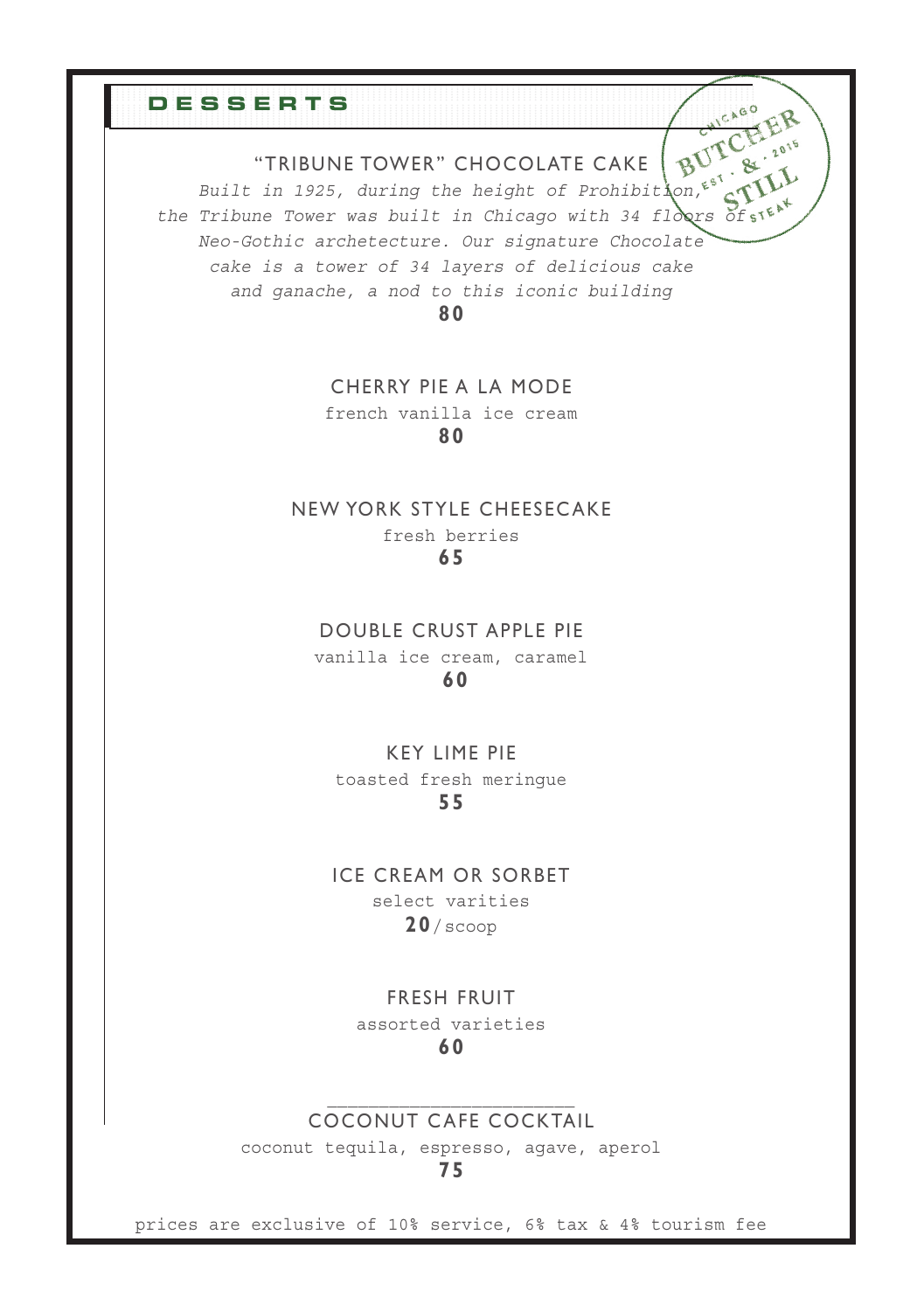#### "TRIBUNE TOWER" CHOCOLATE C AKE

BUTC

*Built in 1925, during the height of Prohibition, the Tribune Tower was built in Chicago with 34 floors of Neo-Gothic archetecture. Our signature Chocolate cake is a tower of 34 layers of delicious cake and ganache, a nod to this iconic building*

**DESSERTS**

**80**

#### CHERRY PIE A LA MODE

french vanilla ice cream **80**

## NEW YORK STYLE CHEESEC AKE fresh berries

**65**

### DOUBLE CRUST APPLE PIE vanilla ice cream, caramel

#### **60**

#### KEY LIME PIE toasted fresh meringue **55**

# ICE CREAM OR SORBET

select varities **20**/scoop

#### FRESH FRUIT

assorted varieties **60**

### COCONUT CAFE COCKTAIL

coconut tequila, espresso, agave, aperol

#### **75**

prices are exclusive of 10% service, 6% tax & 4% tourism fee